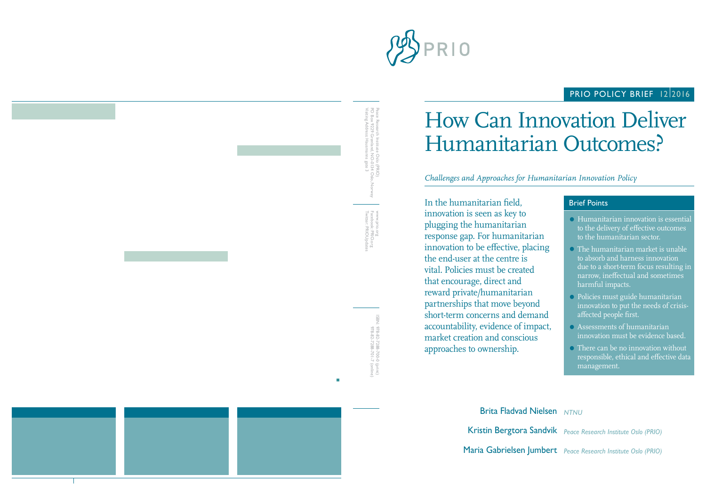

## PRIO POLICY BRIEF 1212016

# How Can Innovation Deliver Humanitarian Outcomes?

*Challenges and Approaches for Humanitarian Innovation Policy*

In the humanitarian field, innovation is seen as key to plugging the humanitarian response gap. For humanitarian innovation to be effective, placing the end-user at the centre is vital. Policies must be created that encourage, direct and reward private/humanitarian partnerships that move beyond short-term concerns and demand accountability, evidence of impact, market creation and conscious approaches to ownership.

### Brief Points

- Humanitarian innovation is essential to the delivery of effective outcomes to the humanitarian sector.
- The humanitarian market is unable to absorb and harness innovation due to a short-term focus resulting in narrow, ineffectual and sometimes harmful impacts.
- Policies must guide humanitarian innovation to put the needs of crisisaffected people first.
- Assessments of humanitarian innovation must be evidence based.
- There can be no innovation without responsible, ethical and effective data management.

Maria Gabrielsen Jumbert *Peace Research Institute Oslo (PRIO)* Kristin Bergtora Sandvik *Peace Research Institute Oslo (PRIO)* **Brita Fladvad Nielsen NTNU** 

Twitter: PRIOUpdates Facebook: PRIO.org Twitter: PRIOUpdates Facebook: PRIO.org www.prio.org WWW.prio.org

> ISBN: 978-82-7288-700-0 (print) 978-82-7288-701-7 (online) 978-82-7288-701-7 (online) 978-82-7288-700-0 (print)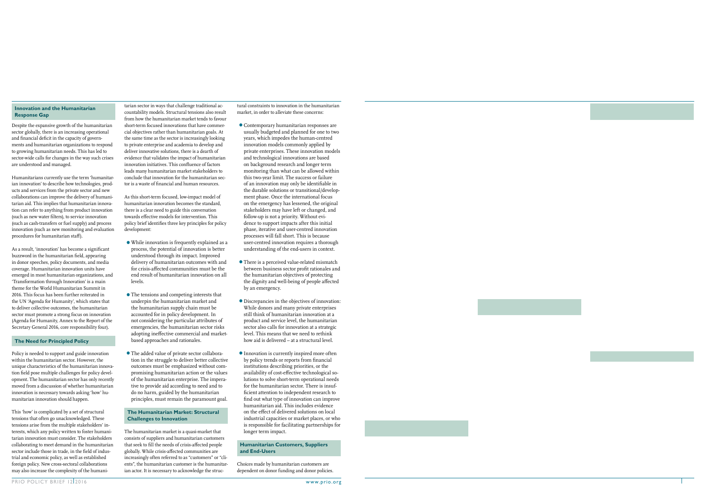#### **Innovation and the Humanitarian Response Gap**

Despite the expansive growth of the humanitarian sector globally, there is an increasing operational and financial deficit in the capacity of governments and humanitarian organizations to respond to growing humanitarian needs. This has led to sector-wide calls for changes in the way such crises are understood and managed.

Humanitarians currently use the term 'humanitarian innovation' to describe how technologies, products and services from the private sector and new collaborations can improve the delivery of humanitarian aid. This implies that humanitarian innovation can refer to anything from product innovation (such as new water filters), to service innovation (such as cash-transfers or fuel supply) and process innovation (such as new monitoring and evaluation procedures for humanitarian staff).

As a result, 'innovation' has become a significant buzzword in the humanitarian field, appearing in donor speeches, policy documents, and media coverage. Humanitarian innovation units have emerged in most humanitarian organizations, and 'Transformation through Innovation' is a main theme for the World Humanitarian Summit in 2016. This focus has been further reiterated in the UN 'Agenda for Humanity', which states that to deliver collective outcomes, the humanitarian sector must promote a strong focus on innovation (Agenda for Humanity, Annex to the Report of the Secretary General 2016, core responsibility four).

#### **The Need for Principled Policy**

Policy is needed to support and guide innovation within the humanitarian sector. However, the unique characteristics of the humanitarian innovation field pose multiple challenges for policy development. The humanitarian sector has only recently moved from a discussion of whether humanitarian innovation is necessary towards asking 'how' humanitarian innovation should happen.

This 'how' is complicated by a set of structural tensions that often go unacknowledged. These tensions arise from the multiple stakeholders' interests, which any policy written to foster humanitarian innovation must consider. The stakeholders collaborating to meet demand in the humanitarian sector include those in trade, in the field of industrial and economic policy, as well as established foreign policy. New cross-sectoral collaborations may also increase the complexity of the humani-

tarian sector in ways that challenge traditional accountability models. Structural tensions also result from how the humanitarian market tends to favour short-term focused innovations that have commercial objectives rather than humanitarian goals. At the same time as the sector is increasingly looking to private enterprise and academia to develop and deliver innovative solutions, there is a dearth of evidence that validates the impact of humanitarian innovation initiatives. This confluence of factors leads many humanitarian market stakeholders to conclude that innovation for the humanitarian sector is a waste of financial and human resources.

As this short-term focused, low-impact model of humanitarian innovation becomes the standard, there is a clear need to guide this conversation towards effective models for intervention. This policy brief identifies three key principles for policy development:

- •While innovation is frequently explained as a process, the potential of innovation is better understood through its impact. Improved delivery of humanitarian outcomes with and for crisis-affected communities must be the end result of humanitarian innovation on all levels.
- •The tensions and competing interests that underpin the humanitarian market and the humanitarian supply chain must be accounted for in policy development. In not considering the particular attributes of emergencies, the humanitarian sector risks adopting ineffective commercial and marketbased approaches and rationales.
- •The added value of private sector collaboration in the struggle to deliver better collective outcomes must be emphasized without compromising humanitarian action or the values of the humanitarian enterprise. The imperative to provide aid according to need and to do no harm, guided by the humanitarian principles, must remain the paramount goal.

#### **The Humanitarian Market: Structural Challenges to Innovation**

The humanitarian market is a quasi-market that consists of suppliers and humanitarian customers that seek to fill the needs of crisis-affected people globally. While crisis-affected communities are increasingly often referred to as "customers" or "clients", the humanitarian customer is the humanitarian actor. It is necessary to acknowledge the structural constraints to innovation in the humanitarian market, in order to alleviate these concerns:

- •Contemporary humanitarian responses are usually budgeted and planned for one to two years, which impedes the human-centred innovation models commonly applied by private enterprises. These innovation models and technological innovations are based on background research and longer term monitoring than what can be allowed within this two-year limit. The success or failure of an innovation may only be identifiable in the durable solutions or transitional/development phase. Once the international focus on the emergency has lessened, the original stakeholders may have left or changed, and follow-up is not a priority. Without evidence to support impacts after this initial phase, iterative and user-centred innovation processes will fall short. This is because user-centred innovation requires a thorough understanding of the end-users in context.
- •There is a perceived value-related mismatch between business sector profit rationales and the humanitarian objectives of protecting the dignity and well-being of people affected by an emergency.
- •Discrepancies in the objectives of innovation: While donors and many private enterprises still think of humanitarian innovation at a product and service level, the humanitarian sector also calls for innovation at a strategic level. This means that we need to rethink how aid is delivered – at a structural level.
- •Innovation is currently inspired more often by policy trends or reports from financial institutions describing priorities, or the availability of cost-effective technological solutions to solve short-term operational needs for the humanitarian sector. There is insufficient attention to independent research to find out what type of innovation can improve humanitarian aid. This includes evidence on the effect of delivered solutions on local industrial capacities or market places, or who is responsible for facilitating partnerships for longer term impact.

#### **Humanitarian Customers, Suppliers and End-Users**

Choices made by humanitarian customers are dependent on donor funding and donor policies.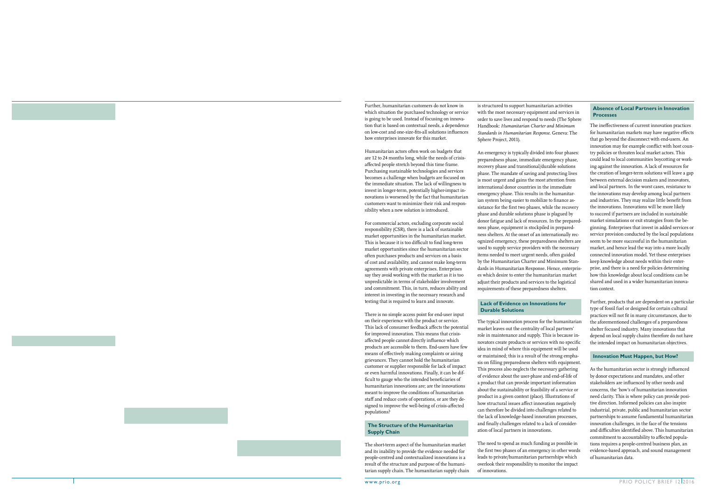of cost and availability, and cannot make long-term agreements with private enterprises. Enterprises say they avoid working with the market as it is too

unpredictable in terms of stakeholder involvement and commitment. This, in turn, reduces ability and interest in investing in the necessary research and testing that is required to learn and innovate.

Further, humanitarian customers do not know in which situation the purchased technology or service is going to be used. Instead of focusing on innovation that is based on contextual needs, a dependence on low-cost and one-size-fits-all solutions influences

Humanitarian actors often work on budgets that are 12 to 24 months long, while the needs of crisisaffected people stretch beyond this time frame. Purchasing sustainable technologies and services becomes a challenge when budgets are focused on the immediate situation. The lack of willingness to invest in longer-term, potentially higher-impact innovations is worsened by the fact that humanitarian customers want to minimize their risk and responsibility when a new solution is introduced.

For commercial actors, excluding corporate social responsibility (CSR), there is a lack of sustainable market opportunities in the humanitarian market. This is because it is too difficult to find long-term market opportunities since the humanitarian sector often purchases products and services on a basis

how enterprises innovate for this market.

There is no simple access point for end-user input on their experience with the product or service. This lack of consumer feedback affects the potential for improved innovation. This means that crisisaffected people cannot directly influence which products are accessible to them. End-users have few means of effectively making complaints or airing grievances. They cannot hold the humanitarian customer or supplier responsible for lack of impact or even harmful innovations. Finally, it can be difficult to gauge who the intended beneficiaries of humanitarian innovations are; are the innovations meant to improve the conditions of humanitarian staff and reduce costs of operations, or are they designed to improve the well-being of crisis-affected populations?

#### **The Structure of the Humanitarian Supply Chain**

The short-term aspect of the humanitarian market and its inability to provide the evidence needed for people-centred and contextualized innovations is a result of the structure and purpose of the humanitarian supply chain. The humanitarian supply chain is structured to support humanitarian activities with the most necessary equipment and services in order to save lives and respond to needs (The Sphere Handbook: *Humanitarian Charter and Minimum Standards in Humanitarian Response*. Geneva: The Sphere Project, 2011).

An emergency is typically divided into four phases: preparedness phase, immediate emergency phase, recovery phase and transitional/durable solutions phase. The mandate of saving and protecting lives is most urgent and gains the most attention from international donor countries in the immediate emergency phase. This results in the humanitarian system being easier to mobilize to finance assistance for the first two phases, while the recovery phase and durable solutions phase is plagued by donor fatigue and lack of resources. In the preparedness phase, equipment is stockpiled in preparedness shelters. At the onset of an internationally recognized emergency, these preparedness shelters are used to supply service providers with the necessary items needed to meet urgent needs, often guided by the Humanitarian Charter and Minimum Standards in Humanitarian Response. Hence, enterprises which desire to enter the humanitarian market adjust their products and services to the logistical requirements of these preparedness shelters.

#### **Lack of Evidence on Innovations for Durable Solutions**

The typical innovation process for the humanitarian market leaves out the centrality of local partners' role in maintenance and supply. This is because innovators create products or services with no specific idea in mind of where this equipment will be used or maintained; this is a result of the strong emphasis on filling preparedness shelters with equipment. This process also neglects the necessary gathering of evidence about the user-phase and end-of-life of a product that can provide important information about the sustainability or feasibility of a service or product in a given context (place). Illustrations of how structural issues affect innovation negatively can therefore be divided into challenges related to the lack of knowledge-based innovation processes, and finally challenges related to a lack of consideration of local partners in innovations.

The need to spend as much funding as possible in the first two phases of an emergency in other words leads to private/humanitarian partnerships which overlook their responsibility to monitor the impact of innovations.

#### **Absence of Local Partners in Innovation Processes**

The ineffectiveness of current innovation practices for humanitarian markets may have negative effects that go beyond the disconnect with end-users. An innovation may for example conflict with host country policies or threaten local market actors. This could lead to local communities boycotting or working against the innovation. A lack of resources for the creation of longer-term solutions will leave a gap between external decision makers and innovators, and local partners. In the worst cases, resistance to the innovations may develop among local partners and industries. They may realize little benefit from the innovations. Innovations will be more likely to succeed if partners are included in sustainable market simulations or exit strategies from the beginning. Enterprises that invest in added services or service provision conducted by the local populations seem to be more successful in the humanitarian market, and hence lead the way into a more locally connected innovation model. Yet these enterprises keep knowledge about needs within their enterprise, and there is a need for policies determining how this knowledge about local conditions can be shared and used in a wider humanitarian innovation context.

Further, products that are dependent on a particular type of fossil fuel or designed for certain cultural practices will not fit in many circumstances, due to the aforementioned challenges of a preparedness shelter focused industry. Many innovations that depend on local supply chains therefore do not have the intended impact on humanitarian objectives.

#### **Innovation Must Happen, but How?**

As the humanitarian sector is strongly influenced by donor expectations and mandates, and other stakeholders are influenced by other needs and concerns, the 'how's of humanitarian innovation need clarity. This is where policy can provide positive direction. Informed policies can also inspire industrial, private, public and humanitarian sector partnerships to assume fundamental humanitarian innovation challenges, in the face of the tensions and difficulties identified above. This humanitarian commitment to accountability to affected populations requires a people-centred business plan, an evidence-based approach, and sound management of humanitarian data.